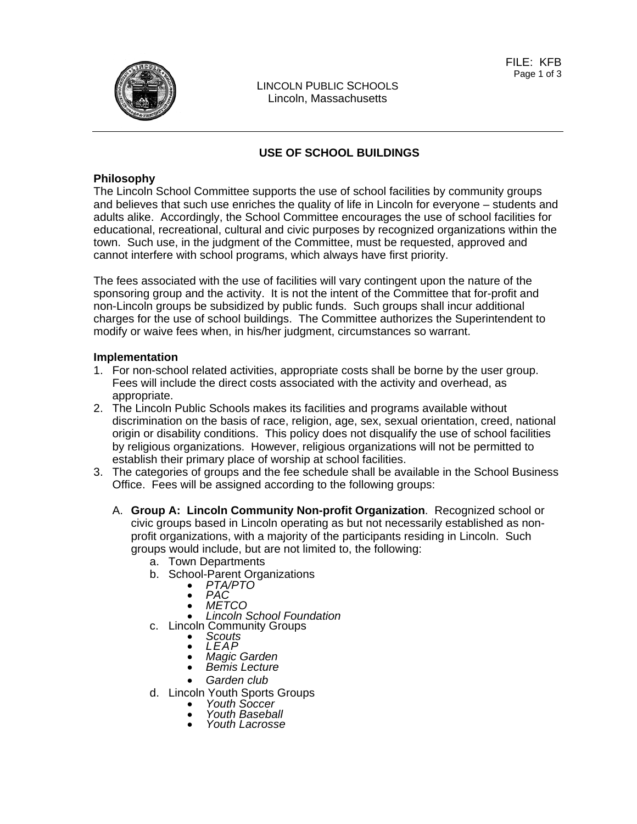### **USE OF SCHOOL BUILDINGS**

### **Philosophy**

The Lincoln School Committee supports the use of school facilities by community groups and believes that such use enriches the quality of life in Lincoln for everyone – students and adults alike. Accordingly, the School Committee encourages the use of school facilities for educational, recreational, cultural and civic purposes by recognized organizations within the town. Such use, in the judgment of the Committee, must be requested, approved and cannot interfere with school programs, which always have first priority.

The fees associated with the use of facilities will vary contingent upon the nature of the sponsoring group and the activity. It is not the intent of the Committee that for-profit and non-Lincoln groups be subsidized by public funds. Such groups shall incur additional charges for the use of school buildings. The Committee authorizes the Superintendent to modify or waive fees when, in his/her judgment, circumstances so warrant.

### **Implementation**

- 1. For non-school related activities, appropriate costs shall be borne by the user group. Fees will include the direct costs associated with the activity and overhead, as appropriate.
- 2. The Lincoln Public Schools makes its facilities and programs available without discrimination on the basis of race, religion, age, sex, sexual orientation, creed, national origin or disability conditions. This policy does not disqualify the use of school facilities by religious organizations. However, religious organizations will not be permitted to establish their primary place of worship at school facilities.
- 3. The categories of groups and the fee schedule shall be available in the School Business Office. Fees will be assigned according to the following groups:
	- A. **Group A: Lincoln Community Non-profit Organization**. Recognized school or civic groups based in Lincoln operating as but not necessarily established as nonprofit organizations, with a majority of the participants residing in Lincoln. Such groups would include, but are not limited to, the following:
		- a. Town Departments
		- b. School-Parent Organizations *PTA/PTO PAC METCO Lincoln School Foundation* 
			-
			-
			-
			-
		- c. Lincoln Community Groups *Scouts LEAP Magic Garden Bemis Lecture* 
			-
			-
			-
			- *Garden club*
		- d. Lincoln Youth Sports Groups *Youth Soccer Youth Baseball Youth Lacrosse* 
			-
			-
			-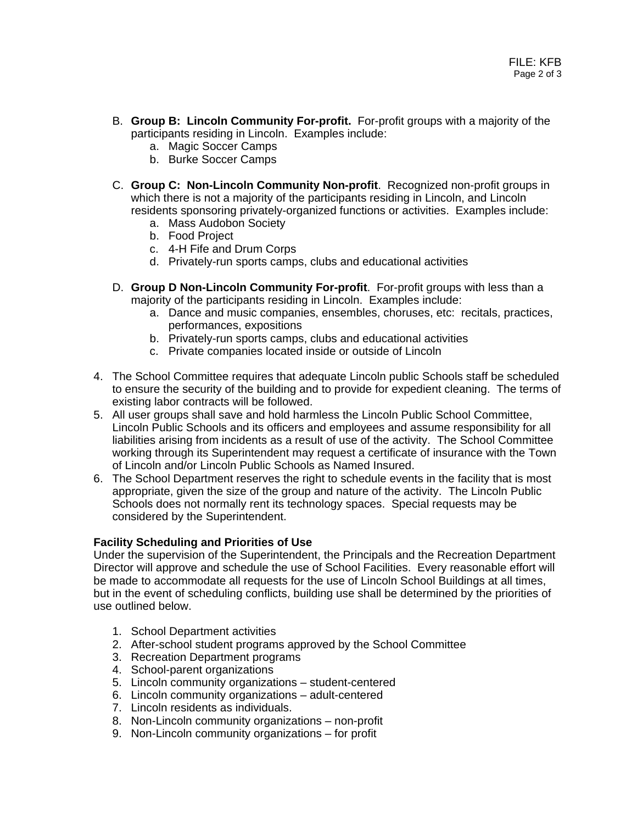- B. **Group B: Lincoln Community For-profit.** For-profit groups with a majority of the participants residing in Lincoln. Examples include:
	- a. Magic Soccer Camps
	- b. Burke Soccer Camps
- C. **Group C: Non-Lincoln Community Non-profit**. Recognized non-profit groups in which there is not a majority of the participants residing in Lincoln, and Lincoln residents sponsoring privately-organized functions or activities. Examples include:
	- a. Mass Audobon Society
	- b. Food Project
	- c. 4-H Fife and Drum Corps
	- d. Privately-run sports camps, clubs and educational activities
- D. **Group D Non-Lincoln Community For-profit**. For-profit groups with less than a majority of the participants residing in Lincoln. Examples include:
	- a. Dance and music companies, ensembles, choruses, etc: recitals, practices, performances, expositions
	- b. Privately-run sports camps, clubs and educational activities
	- c. Private companies located inside or outside of Lincoln
- 4. The School Committee requires that adequate Lincoln public Schools staff be scheduled to ensure the security of the building and to provide for expedient cleaning. The terms of existing labor contracts will be followed.
- 5. All user groups shall save and hold harmless the Lincoln Public School Committee, Lincoln Public Schools and its officers and employees and assume responsibility for all liabilities arising from incidents as a result of use of the activity. The School Committee working through its Superintendent may request a certificate of insurance with the Town of Lincoln and/or Lincoln Public Schools as Named Insured.
- 6. The School Department reserves the right to schedule events in the facility that is most appropriate, given the size of the group and nature of the activity. The Lincoln Public Schools does not normally rent its technology spaces. Special requests may be considered by the Superintendent.

### **Facility Scheduling and Priorities of Use**

Under the supervision of the Superintendent, the Principals and the Recreation Department Director will approve and schedule the use of School Facilities. Every reasonable effort will be made to accommodate all requests for the use of Lincoln School Buildings at all times, but in the event of scheduling conflicts, building use shall be determined by the priorities of use outlined below.

- 1. School Department activities
- 2. After-school student programs approved by the School Committee
- 3. Recreation Department programs
- 4. School-parent organizations
- 5. Lincoln community organizations student-centered
- 6. Lincoln community organizations adult-centered
- 7. Lincoln residents as individuals.
- 8. Non-Lincoln community organizations non-profit
- 9. Non-Lincoln community organizations for profit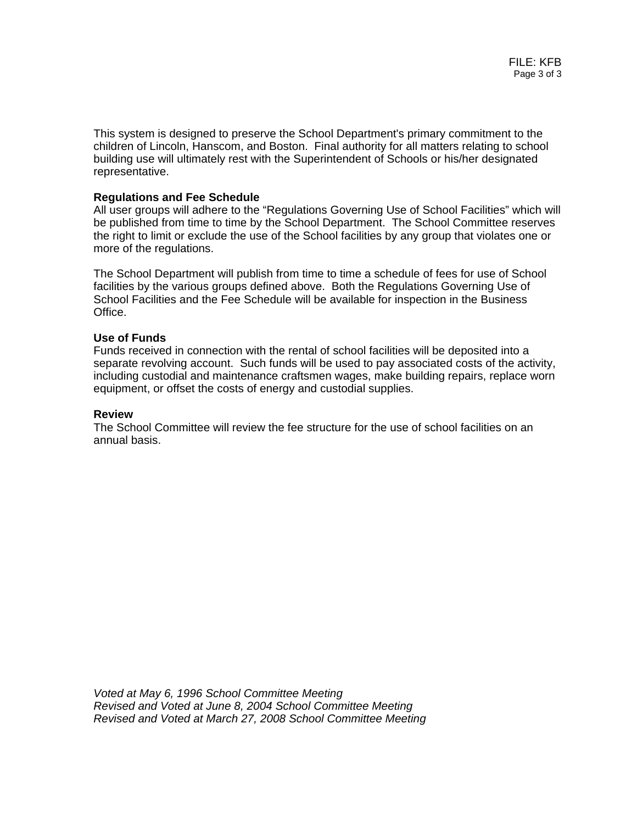This system is designed to preserve the School Department's primary commitment to the children of Lincoln, Hanscom, and Boston. Final authority for all matters relating to school building use will ultimately rest with the Superintendent of Schools or his/her designated representative.

### **Regulations and Fee Schedule**

All user groups will adhere to the "Regulations Governing Use of School Facilities" which will be published from time to time by the School Department. The School Committee reserves the right to limit or exclude the use of the School facilities by any group that violates one or more of the regulations.

The School Department will publish from time to time a schedule of fees for use of School facilities by the various groups defined above. Both the Regulations Governing Use of School Facilities and the Fee Schedule will be available for inspection in the Business Office.

#### **Use of Funds**

Funds received in connection with the rental of school facilities will be deposited into a separate revolving account. Such funds will be used to pay associated costs of the activity, including custodial and maintenance craftsmen wages, make building repairs, replace worn equipment, or offset the costs of energy and custodial supplies.

#### **Review**

The School Committee will review the fee structure for the use of school facilities on an annual basis.

*Voted at May 6, 1996 School Committee Meeting Revised and Voted at June 8, 2004 School Committee Meeting Revised and Voted at March 27, 2008 School Committee Meeting*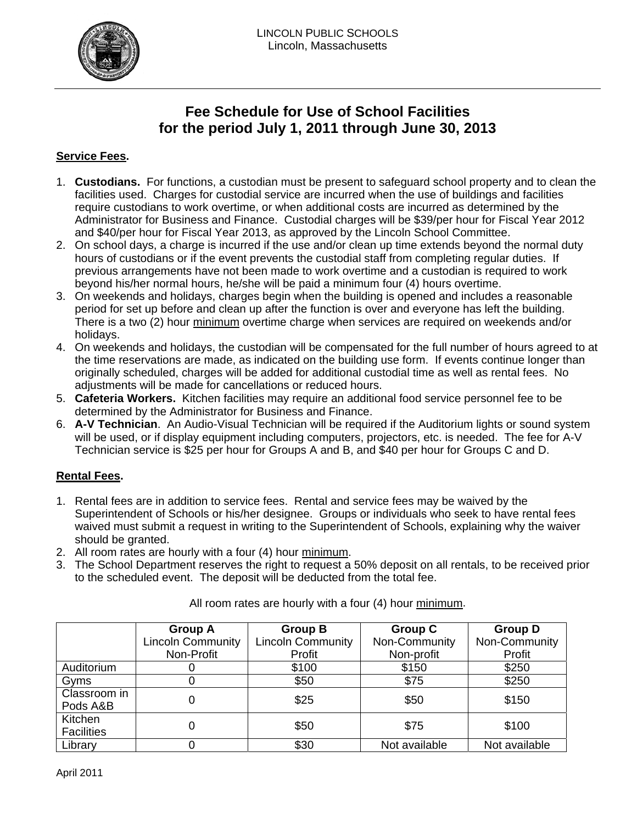

# **Fee Schedule for Use of School Facilities for the period July 1, 2011 through June 30, 2013**

## **Service Fees.**

- 1. **Custodians.** For functions, a custodian must be present to safeguard school property and to clean the facilities used. Charges for custodial service are incurred when the use of buildings and facilities require custodians to work overtime, or when additional costs are incurred as determined by the Administrator for Business and Finance. Custodial charges will be \$39/per hour for Fiscal Year 2012 and \$40/per hour for Fiscal Year 2013, as approved by the Lincoln School Committee.
- 2. On school days, a charge is incurred if the use and/or clean up time extends beyond the normal duty hours of custodians or if the event prevents the custodial staff from completing regular duties. If previous arrangements have not been made to work overtime and a custodian is required to work beyond his/her normal hours, he/she will be paid a minimum four (4) hours overtime.
- 3. On weekends and holidays, charges begin when the building is opened and includes a reasonable period for set up before and clean up after the function is over and everyone has left the building. There is a two (2) hour minimum overtime charge when services are required on weekends and/or holidays.
- 4. On weekends and holidays, the custodian will be compensated for the full number of hours agreed to at the time reservations are made, as indicated on the building use form. If events continue longer than originally scheduled, charges will be added for additional custodial time as well as rental fees. No adjustments will be made for cancellations or reduced hours.
- 5. **Cafeteria Workers.** Kitchen facilities may require an additional food service personnel fee to be determined by the Administrator for Business and Finance.
- 6. **A-V Technician**. An Audio-Visual Technician will be required if the Auditorium lights or sound system will be used, or if display equipment including computers, projectors, etc. is needed. The fee for A-V Technician service is \$25 per hour for Groups A and B, and \$40 per hour for Groups C and D.

## **Rental Fees.**

- 1. Rental fees are in addition to service fees. Rental and service fees may be waived by the Superintendent of Schools or his/her designee. Groups or individuals who seek to have rental fees waived must submit a request in writing to the Superintendent of Schools, explaining why the waiver should be granted.
- 2. All room rates are hourly with a four (4) hour minimum.
- 3. The School Department reserves the right to request a 50% deposit on all rentals, to be received prior to the scheduled event. The deposit will be deducted from the total fee.

|                              | <b>Group A</b>           | <b>Group B</b>           | <b>Group C</b> | <b>Group D</b> |
|------------------------------|--------------------------|--------------------------|----------------|----------------|
|                              | <b>Lincoln Community</b> | <b>Lincoln Community</b> | Non-Community  | Non-Community  |
|                              | Non-Profit               | Profit                   | Non-profit     | Profit         |
| Auditorium                   |                          | \$100                    | \$150          | \$250          |
| Gyms                         |                          | \$50                     | \$75           | \$250          |
| Classroom in<br>Pods A&B     |                          | \$25                     | \$50           | \$150          |
| Kitchen<br><b>Facilities</b> |                          | \$50                     | \$75           | \$100          |
| Library                      |                          | \$30                     | Not available  | Not available  |

All room rates are hourly with a four (4) hour minimum.